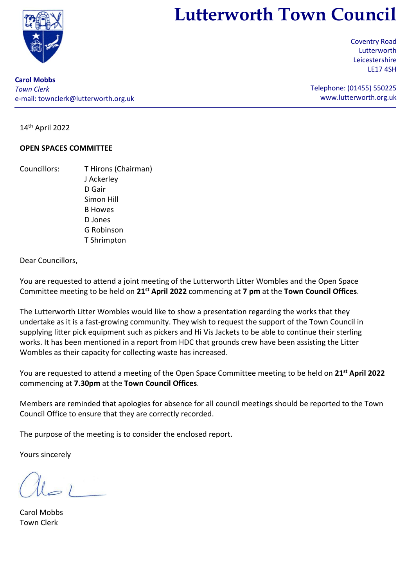

# **Lutterworth Town Council**

Coventry Road Lutterworth Leicestershire LE17 4SH

**Carol Mobbs** *Town Clerk* e-mail: [townclerk@lutterworth.org.uk](mailto:townclerk@lutterworth.org.uk)

Telephone: (01455) 550225 [www.lutterworth.org.uk](http://www.lutterworth.org.uk/)

14 th April 2022

## **OPEN SPACES COMMITTEE**

Councillors: T Hirons (Chairman) J Ackerley D Gair Simon Hill B Howes D Jones G Robinson T Shrimpton

#### Dear Councillors,

You are requested to attend a joint meeting of the Lutterworth Litter Wombles and the Open Space Committee meeting to be held on **21st April 2022** commencing at **7 pm** at the **Town Council Offices**.

The Lutterworth Litter Wombles would like to show a presentation regarding the works that they undertake as it is a fast-growing community. They wish to request the support of the Town Council in supplying litter pick equipment such as pickers and Hi Vis Jackets to be able to continue their sterling works. It has been mentioned in a report from HDC that grounds crew have been assisting the Litter Wombles as their capacity for collecting waste has increased.

You are requested to attend a meeting of the Open Space Committee meeting to be held on **21st April 2022** commencing at **7.30pm** at the **Town Council Offices**.

Members are reminded that apologies for absence for all council meetings should be reported to the Town Council Office to ensure that they are correctly recorded.

The purpose of the meeting is to consider the enclosed report.

Yours sincerely

Carol Mobbs Town Clerk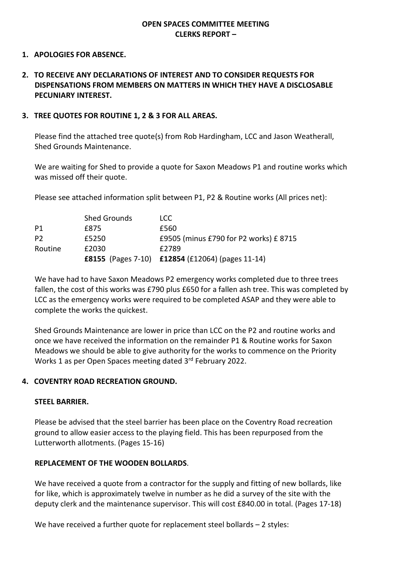## **OPEN SPACES COMMITTEE MEETING CLERKS REPORT –**

#### **1. APOLOGIES FOR ABSENCE.**

## **2. TO RECEIVE ANY DECLARATIONS OF INTEREST AND TO CONSIDER REQUESTS FOR DISPENSATIONS FROM MEMBERS ON MATTERS IN WHICH THEY HAVE A DISCLOSABLE PECUNIARY INTEREST.**

#### **3. TREE QUOTES FOR ROUTINE 1, 2 & 3 FOR ALL AREAS.**

Please find the attached tree quote(s) from Rob Hardingham, LCC and Jason Weatherall, Shed Grounds Maintenance.

We are waiting for Shed to provide a quote for Saxon Meadows P1 and routine works which was missed off their quote.

Please see attached information split between P1, P2 & Routine works (All prices net):

|                | <b>Shed Grounds</b> | LCC.                                             |
|----------------|---------------------|--------------------------------------------------|
| P <sub>1</sub> | £875                | £560                                             |
| P <sub>2</sub> | £5250               | £9505 (minus £790 for P2 works) £8715            |
| Routine        | £2030               | £2789                                            |
|                |                     | £8155 (Pages 7-10) £12854 (£12064) (pages 11-14) |

We have had to have Saxon Meadows P2 emergency works completed due to three trees fallen, the cost of this works was £790 plus £650 for a fallen ash tree. This was completed by LCC as the emergency works were required to be completed ASAP and they were able to complete the works the quickest.

Shed Grounds Maintenance are lower in price than LCC on the P2 and routine works and once we have received the information on the remainder P1 & Routine works for Saxon Meadows we should be able to give authority for the works to commence on the Priority Works 1 as per Open Spaces meeting dated 3<sup>rd</sup> February 2022.

#### **4. COVENTRY ROAD RECREATION GROUND.**

#### **STEEL BARRIER.**

Please be advised that the steel barrier has been place on the Coventry Road recreation ground to allow easier access to the playing field. This has been repurposed from the Lutterworth allotments. (Pages 15-16)

#### **REPLACEMENT OF THE WOODEN BOLLARDS**.

We have received a quote from a contractor for the supply and fitting of new bollards, like for like, which is approximately twelve in number as he did a survey of the site with the deputy clerk and the maintenance supervisor. This will cost £840.00 in total. (Pages 17-18)

We have received a further quote for replacement steel bollards - 2 styles: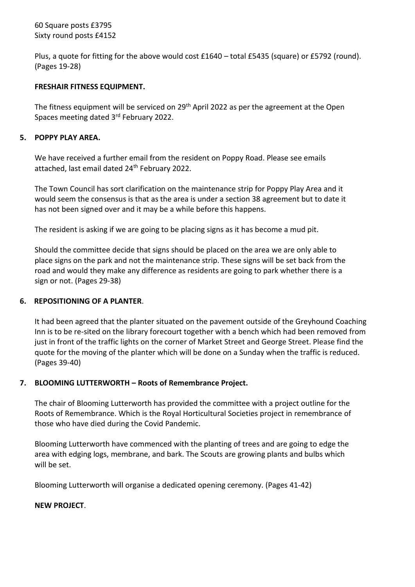# 60 Square posts £3795 Sixty round posts £4152

Plus, a quote for fitting for the above would cost £1640 – total £5435 (square) or £5792 (round). (Pages 19-28)

## **FRESHAIR FITNESS EQUIPMENT.**

The fitness equipment will be serviced on 29<sup>th</sup> April 2022 as per the agreement at the Open Spaces meeting dated 3rd February 2022.

## **5. POPPY PLAY AREA.**

We have received a further email from the resident on Poppy Road. Please see emails attached, last email dated 24<sup>th</sup> February 2022.

The Town Council has sort clarification on the maintenance strip for Poppy Play Area and it would seem the consensus is that as the area is under a section 38 agreement but to date it has not been signed over and it may be a while before this happens.

The resident is asking if we are going to be placing signs as it has become a mud pit.

Should the committee decide that signs should be placed on the area we are only able to place signs on the park and not the maintenance strip. These signs will be set back from the road and would they make any difference as residents are going to park whether there is a sign or not. (Pages 29-38)

# **6. REPOSITIONING OF A PLANTER**.

It had been agreed that the planter situated on the pavement outside of the Greyhound Coaching Inn is to be re-sited on the library forecourt together with a bench which had been removed from just in front of the traffic lights on the corner of Market Street and George Street. Please find the quote for the moving of the planter which will be done on a Sunday when the traffic is reduced. (Pages 39-40)

# **7. BLOOMING LUTTERWORTH – Roots of Remembrance Project.**

The chair of Blooming Lutterworth has provided the committee with a project outline for the Roots of Remembrance. Which is the Royal Horticultural Societies project in remembrance of those who have died during the Covid Pandemic.

Blooming Lutterworth have commenced with the planting of trees and are going to edge the area with edging logs, membrane, and bark. The Scouts are growing plants and bulbs which will be set.

Blooming Lutterworth will organise a dedicated opening ceremony. (Pages 41-42)

#### **NEW PROJECT**.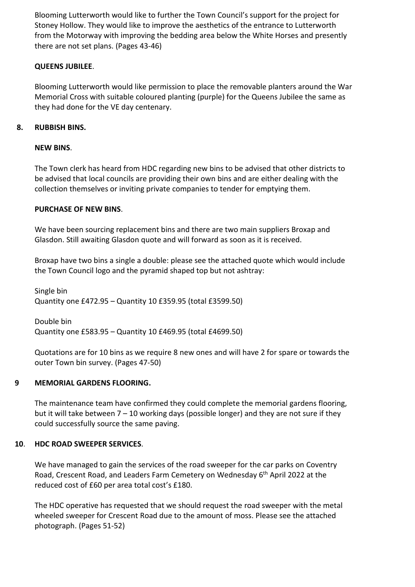Blooming Lutterworth would like to further the Town Council's support for the project for Stoney Hollow. They would like to improve the aesthetics of the entrance to Lutterworth from the Motorway with improving the bedding area below the White Horses and presently there are not set plans. (Pages 43-46)

# **QUEENS JUBILEE**.

Blooming Lutterworth would like permission to place the removable planters around the War Memorial Cross with suitable coloured planting (purple) for the Queens Jubilee the same as they had done for the VE day centenary.

# **8. RUBBISH BINS.**

# **NEW BINS**.

The Town clerk has heard from HDC regarding new bins to be advised that other districts to be advised that local councils are providing their own bins and are either dealing with the collection themselves or inviting private companies to tender for emptying them.

# **PURCHASE OF NEW BINS**.

We have been sourcing replacement bins and there are two main suppliers Broxap and Glasdon. Still awaiting Glasdon quote and will forward as soon as it is received.

Broxap have two bins a single a double: please see the attached quote which would include the Town Council logo and the pyramid shaped top but not ashtray:

Single bin Quantity one £472.95 – Quantity 10 £359.95 (total £3599.50)

Double bin Quantity one £583.95 – Quantity 10 £469.95 (total £4699.50)

Quotations are for 10 bins as we require 8 new ones and will have 2 for spare or towards the outer Town bin survey. (Pages 47-50)

# **9 MEMORIAL GARDENS FLOORING.**

The maintenance team have confirmed they could complete the memorial gardens flooring, but it will take between  $7 - 10$  working days (possible longer) and they are not sure if they could successfully source the same paving.

# **10**. **HDC ROAD SWEEPER SERVICES**.

We have managed to gain the services of the road sweeper for the car parks on Coventry Road, Crescent Road, and Leaders Farm Cemetery on Wednesday 6<sup>th</sup> April 2022 at the reduced cost of £60 per area total cost's £180.

The HDC operative has requested that we should request the road sweeper with the metal wheeled sweeper for Crescent Road due to the amount of moss. Please see the attached photograph. (Pages 51-52)